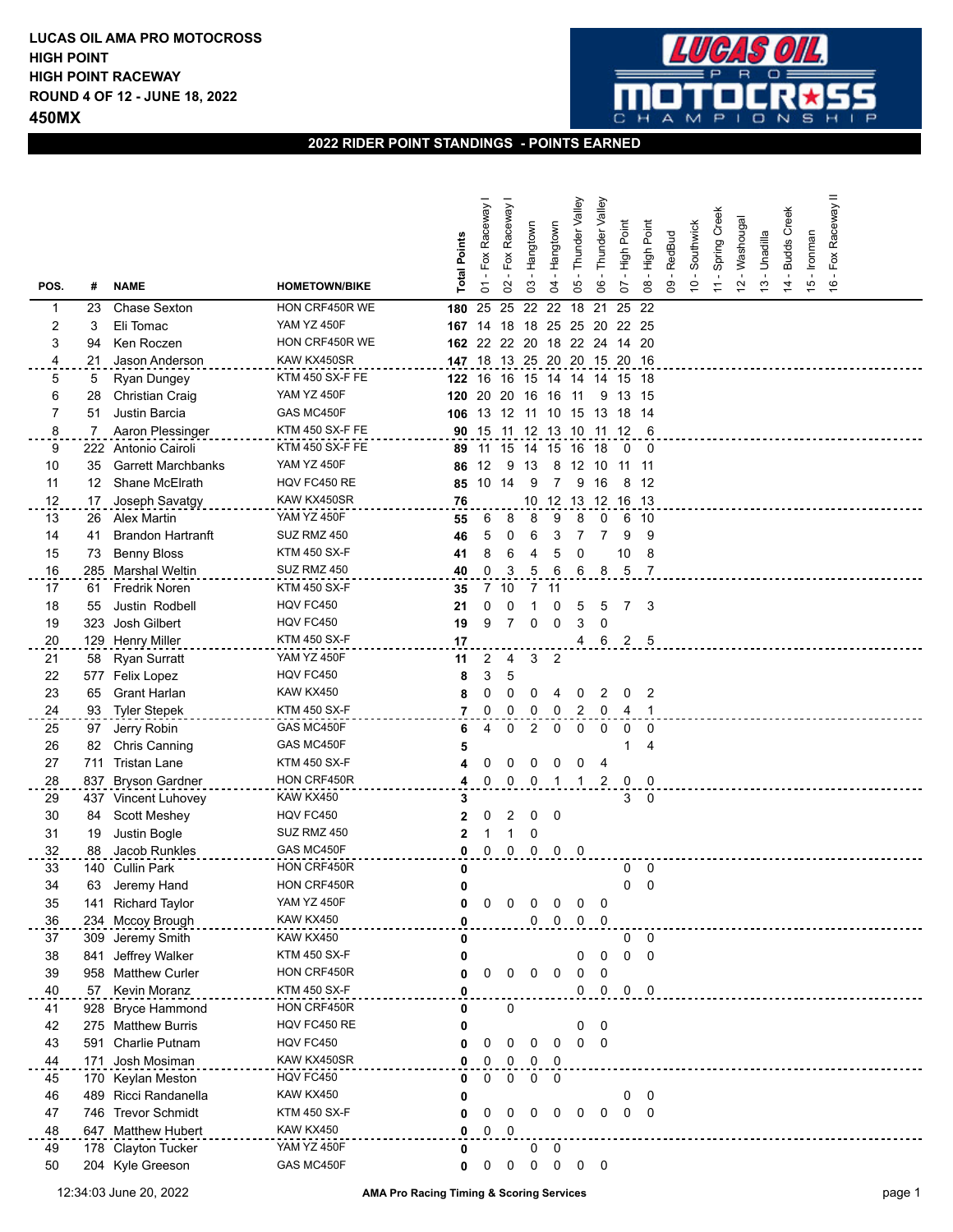

## **2022 RIDER POINT STANDINGS - POINTS EARNED**

|      |     |                           |                      | <b>Total Points</b> | - Fox Raceway I | - Fox Raceway | - Hangtown     | Hangtown                 | Thunder Valley           | Valley<br>Thunder       | Point<br>High | Point<br>$H$ igh        | - RedBud                  | Southwick      | Spring Creek   | - Washougal   | - Unadilla    | - Budds Creek | - Ironman     | - Fox Raceway II |  |  |
|------|-----|---------------------------|----------------------|---------------------|-----------------|---------------|----------------|--------------------------|--------------------------|-------------------------|---------------|-------------------------|---------------------------|----------------|----------------|---------------|---------------|---------------|---------------|------------------|--|--|
| POS. | #   | <b>NAME</b>               | <b>HOMETOWN/BIKE</b> |                     | $\overline{c}$  | SO            | 3              | 2                        | రి                       | 80                      | 5             | $\infty$                | $\mathsf{S}^{\mathsf{O}}$ | $\overline{C}$ | $\overline{a}$ | $\frac{1}{2}$ | $\frac{3}{2}$ | $\dot{4}$     | $\frac{6}{7}$ | $\frac{6}{5}$    |  |  |
| 1    | 23  | Chase Sexton              | HON CRF450R WE       | 180                 | 25              | 25            | 22             | 22                       | 18                       | 21                      | 25            | 22                      |                           |                |                |               |               |               |               |                  |  |  |
| 2    | 3   | Eli Tomac                 | <b>YAM YZ 450F</b>   | 167                 | -14             | 18            | 18             | 25                       | 25 20                    |                         | 22 25         |                         |                           |                |                |               |               |               |               |                  |  |  |
| 3    | 94  | Ken Roczen                | HON CRF450R WE       | 162 22              |                 | 22            | -20            | 18                       | 22 24                    |                         | 14 20         |                         |                           |                |                |               |               |               |               |                  |  |  |
| 4    | 21  | Jason Anderson            | KAW KX450SR          | 147 18              |                 | 13 25         |                |                          | 20 20 15 20 16           |                         |               |                         |                           |                |                |               |               |               |               |                  |  |  |
| 5    | 5   | Ryan Dungey               | KTM 450 SX-F FE      | 122                 | 16              | 16            | 15             | 14                       | 14 14 15 18              |                         |               |                         |                           |                |                |               |               |               |               |                  |  |  |
| 6    | 28  | Christian Craig           | YAM YZ 450F          | 120                 | 20              | -20           | 16             | 16                       | -11                      | 9                       | 13 15         |                         |                           |                |                |               |               |               |               |                  |  |  |
| 7    | 51  | Justin Barcia             | GAS MC450F           | 106                 | 13              | 12 11 10      |                |                          | 15                       | 13                      | 18 14         |                         |                           |                |                |               |               |               |               |                  |  |  |
| 8    | 7   | Aaron Plessinger          | KTM 450 SX-F FE      |                     | 90 15           | -11           | -12            | - 13                     | - 10                     | 11 12                   |               | - 6                     |                           |                |                |               |               |               |               |                  |  |  |
| 9    | 222 | Antonio Cairoli           | KTM 450 SX-F FE      | 89                  | 11              | 15            | 14             | 15                       | 16                       | -18                     | 0             | - 0                     |                           |                |                |               |               |               |               |                  |  |  |
| 10   | 35  | <b>Garrett Marchbanks</b> | <b>YAM YZ 450F</b>   | 86                  | 12              | 9             | 13             | 8                        | 12                       | 10                      | 11            | -11                     |                           |                |                |               |               |               |               |                  |  |  |
| 11   | 12  | Shane McElrath            | HQV FC450 RE         | 85                  | 10              | 14            | 9              | 7                        | 9                        | 16                      | 8             | 12                      |                           |                |                |               |               |               |               |                  |  |  |
| 12   | 17  | Joseph Savatgy            | KAW KX450SR          | 76                  |                 |               | 10             | 12                       | 13                       |                         | 12 16 13      |                         |                           |                |                |               |               |               |               |                  |  |  |
| 13   | 26  | Alex Martin               | <b>YAM YZ 450F</b>   | 55                  | 6               | 8             | 8              | 9                        | 8                        | 0                       | 6             | - 10                    |                           |                |                |               |               |               |               |                  |  |  |
| 14   | 41  | <b>Brandon Hartranft</b>  | SUZ RMZ 450          | 46                  | 5               | 0             | 6              | 3                        | 7                        | $\overline{7}$          | 9             | 9                       |                           |                |                |               |               |               |               |                  |  |  |
| 15   | 73  | <b>Benny Bloss</b>        | KTM 450 SX-F         | 41                  | 8               | 6             | 4              | 5                        | 0                        |                         | 10            | 8                       |                           |                |                |               |               |               |               |                  |  |  |
| 16   | 285 | Marshal Weltin            | SUZ RMZ 450          | 40                  | 0               | 3             | 5              | 6                        | 6                        | 8                       | 5             | $\overline{7}$          |                           |                |                |               |               |               |               |                  |  |  |
| 17   | 61  | Fredrik Noren             | <b>KTM 450 SX-F</b>  | 35                  | 7               | 10            | 7              | 11                       |                          |                         |               |                         |                           |                |                |               |               |               |               |                  |  |  |
| 18   | 55  | Justin Rodbell            | HQV FC450            | 21                  | 0               | 0             |                | 0                        | 5                        | 5                       | 7             | 3                       |                           |                |                |               |               |               |               |                  |  |  |
| 19   | 323 | Josh Gilbert              | HQV FC450            | 19                  | 9               |               | 0              | 0                        | 3                        | 0                       |               |                         |                           |                |                |               |               |               |               |                  |  |  |
| 20   | 129 | <b>Henry Miller</b>       | <b>KTM 450 SX-F</b>  | 17                  |                 |               |                |                          | 4                        | 6                       |               | 2 <sub>5</sub>          |                           |                |                |               |               |               |               |                  |  |  |
| 21   | 58  | <b>Ryan Surratt</b>       | <b>YAM YZ 450F</b>   | 11                  | 2               | 4             | 3              | $\overline{2}$           |                          |                         |               |                         |                           |                |                |               |               |               |               |                  |  |  |
| 22   | 577 | Felix Lopez               | HQV FC450            | 8                   | 3               | 5             |                |                          |                          |                         |               |                         |                           |                |                |               |               |               |               |                  |  |  |
| 23   | 65  | Grant Harlan              | KAW KX450            | 8                   | 0               | 0             | 0              |                          | 0                        | 2                       | 0             | 2                       |                           |                |                |               |               |               |               |                  |  |  |
| 24   | 93  | <b>Tyler Stepek</b>       | KTM 450 SX-F         | 7                   | 0               | 0             | 0              | 0                        | 2                        | 0                       | 4             | -1                      |                           |                |                |               |               |               |               |                  |  |  |
| 25   | 97  | Jerry Robin               | GAS MC450F           | 6                   | 4               | 0             | $\overline{2}$ | 0                        | 0                        | 0                       | 0             | 0                       |                           |                |                |               |               |               |               |                  |  |  |
| 26   | 82  | Chris Canning             | GAS MC450F           | 5                   |                 |               |                |                          |                          |                         | 1             | 4                       |                           |                |                |               |               |               |               |                  |  |  |
| 27   | 711 | <b>Tristan Lane</b>       | KTM 450 SX-F         | 4                   | 0               | 0             | 0              | 0                        | 0                        | 4                       |               |                         |                           |                |                |               |               |               |               |                  |  |  |
| 28   | 837 | <b>Bryson Gardner</b>     | HON CRF450R          | 4                   | 0               | 0             | $\Omega$       |                          |                          | 2                       | 0             | 0                       |                           |                |                |               |               |               |               |                  |  |  |
| 29   |     | 437 Vincent Luhovey       | KAW KX450            | 3                   |                 |               |                |                          |                          |                         |               | $3 \quad 0$             |                           |                |                |               |               |               |               |                  |  |  |
| 30   | 84  | Scott Meshey              | HQV FC450            | 2                   | 0               | 2             | 0              | 0                        |                          |                         |               |                         |                           |                |                |               |               |               |               |                  |  |  |
| 31   | 19  | Justin Bogle              | SUZ RMZ 450          | 2                   |                 |               | 0              |                          |                          |                         |               |                         |                           |                |                |               |               |               |               |                  |  |  |
| 32   | 88  | Jacob Runkles             | GAS MC450F           | 0                   | 0               | 0             | $\mathbf 0$    | $\overline{\mathbf{0}}$  | $\overline{\phantom{0}}$ |                         |               |                         |                           |                |                |               |               |               |               |                  |  |  |
| 33   | 140 | <b>Cullin Park</b>        | HON CRF450R          | 0                   |                 |               |                |                          |                          |                         | 0             | $\overline{\mathbf{0}}$ |                           |                |                |               |               |               |               |                  |  |  |
| 34   | 63  | Jeremy Hand               | HON CRF450R          | 0                   |                 |               |                |                          |                          |                         | 0             | $\mathbf 0$             |                           |                |                |               |               |               |               |                  |  |  |
| 35   | 141 | <b>Richard Taylor</b>     | YAM YZ 450F          | 0                   | 0               | 0             | 0              | 0                        | 0                        | 0                       |               |                         |                           |                |                |               |               |               |               |                  |  |  |
| 36   |     | 234 Mccoy Brough          | KAW KX450            | 0                   |                 |               | 0              | $\overline{\phantom{0}}$ | 0                        | $\overline{\mathbf{0}}$ |               |                         |                           |                |                |               |               |               |               |                  |  |  |
| 37   | 309 | Jeremy Smith              | KAW KX450            | 0                   |                 |               |                |                          |                          |                         | 0             | $\overline{\mathbf{0}}$ |                           |                |                |               |               |               |               |                  |  |  |
| 38   | 841 | Jeffrey Walker            | <b>KTM 450 SX-F</b>  | 0                   |                 |               |                |                          | 0                        | 0                       | $\mathbf 0$   | $\overline{\mathbf{0}}$ |                           |                |                |               |               |               |               |                  |  |  |
| 39   |     | 958 Matthew Curler        | HON CRF450R          | 0                   | 0               | 0             | 0              | $\overline{\phantom{0}}$ | 0                        | 0                       |               |                         |                           |                |                |               |               |               |               |                  |  |  |
| 40   |     | 57 Kevin Moranz           | KTM 450 SX-F         | 0                   |                 |               |                |                          | 0                        | $\mathbf 0$             |               | $0\quad 0$              |                           |                |                |               |               |               |               |                  |  |  |
| 41   |     | 928 Bryce Hammond         | HON CRF450R          | 0                   |                 | 0             |                |                          |                          |                         |               |                         |                           |                |                |               |               |               |               |                  |  |  |
| 42   |     | 275 Matthew Burris        | HQV FC450 RE         | 0                   |                 |               |                |                          | 0                        | 0                       |               |                         |                           |                |                |               |               |               |               |                  |  |  |
| 43   |     | 591 Charlie Putnam        | HQV FC450            | 0                   | 0               | 0             | 0              | 0                        | 0                        | 0                       |               |                         |                           |                |                |               |               |               |               |                  |  |  |
| 44   |     | 171 Josh Mosiman          | KAW KX450SR          | 0                   | 0               | 0             | 0              | $\overline{\mathbf{0}}$  |                          |                         |               |                         |                           |                |                |               |               |               |               |                  |  |  |
| 45   | 170 | Keylan Meston             | HQV FC450            | 0                   | 0               | 0             | 0              | $\overline{\phantom{0}}$ |                          |                         |               |                         |                           |                |                |               |               |               |               |                  |  |  |
| 46   |     | 489 Ricci Randanella      | KAW KX450            | 0                   |                 |               |                |                          |                          |                         | 0             | 0                       |                           |                |                |               |               |               |               |                  |  |  |
| 47   |     | 746 Trevor Schmidt        | <b>KTM 450 SX-F</b>  | 0                   | 0               | 0             | 0              | 0                        | 0                        | 0                       | 0             | 0                       |                           |                |                |               |               |               |               |                  |  |  |
| 48   |     | 647 Matthew Hubert        | KAW KX450            | 0                   | 0               | 0             |                |                          |                          |                         |               |                         |                           |                |                |               |               |               |               |                  |  |  |
| 49   |     | 178 Clayton Tucker        | YAM YZ 450F          | 0                   |                 |               | $\mathbf{0}$   | $\overline{\phantom{0}}$ |                          |                         |               |                         |                           |                |                |               |               |               |               |                  |  |  |
| 50   |     | 204 Kyle Greeson          | GAS MC450F           | 0                   | 0               | $\mathsf 0$   |                | $0\quad 0$               |                          | $0\quad 0$              |               |                         |                           |                |                |               |               |               |               |                  |  |  |
|      |     |                           |                      |                     |                 |               |                |                          |                          |                         |               |                         |                           |                |                |               |               |               |               |                  |  |  |